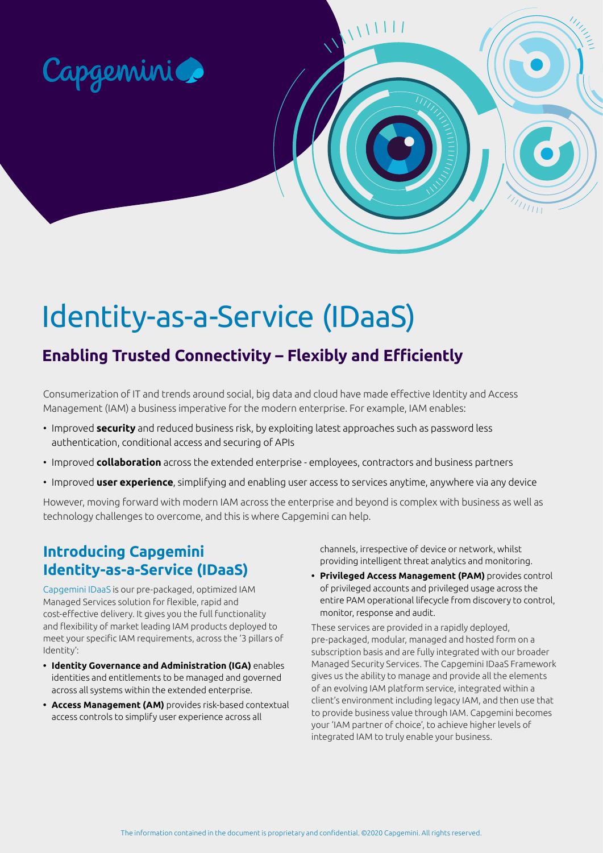

# Identity-as-a-Service (IDaaS)

## **Enabling Trusted Connectivity – Flexibly and Efficiently**

Consumerization of IT and trends around social, big data and cloud have made effective Identity and Access Management (IAM) a business imperative for the modern enterprise. For example, IAM enables:

- Improved **security** and reduced business risk, by exploiting latest approaches such as password less authentication, conditional access and securing of APIs
- Improved **collaboration** across the extended enterprise employees, contractors and business partners
- Improved **user experience**, simplifying and enabling user access to services anytime, anywhere via any device

However, moving forward with modern IAM across the enterprise and beyond is complex with business as well as technology challenges to overcome, and this is where Capgemini can help.

#### **Introducing Capgemini Identity-as-a-Service (IDaaS)**

Capgemini IDaaS is our pre-packaged, optimized IAM Managed Services solution for flexible, rapid and cost-effective delivery. It gives you the full functionality and flexibility of market leading IAM products deployed to meet your specific IAM requirements, across the '3 pillars of Identity':

- **• Identity Governance and Administration (IGA)** enables identities and entitlements to be managed and governed across all systems within the extended enterprise.
- **• Access Management (AM)** provides risk-based contextual access controls to simplify user experience across all

channels, irrespective of device or network, whilst providing intelligent threat analytics and monitoring.

 $\sqrt{1111}$ 

**• Privileged Access Management (PAM)** provides control of privileged accounts and privileged usage across the entire PAM operational lifecycle from discovery to control, monitor, response and audit.

These services are provided in a rapidly deployed, pre-packaged, modular, managed and hosted form on a subscription basis and are fully integrated with our broader Managed Security Services. The Capgemini IDaaS Framework gives us the ability to manage and provide all the elements of an evolving IAM platform service, integrated within a client's environment including legacy IAM, and then use that to provide business value through IAM. Capgemini becomes your 'IAM partner of choice', to achieve higher levels of integrated IAM to truly enable your business.